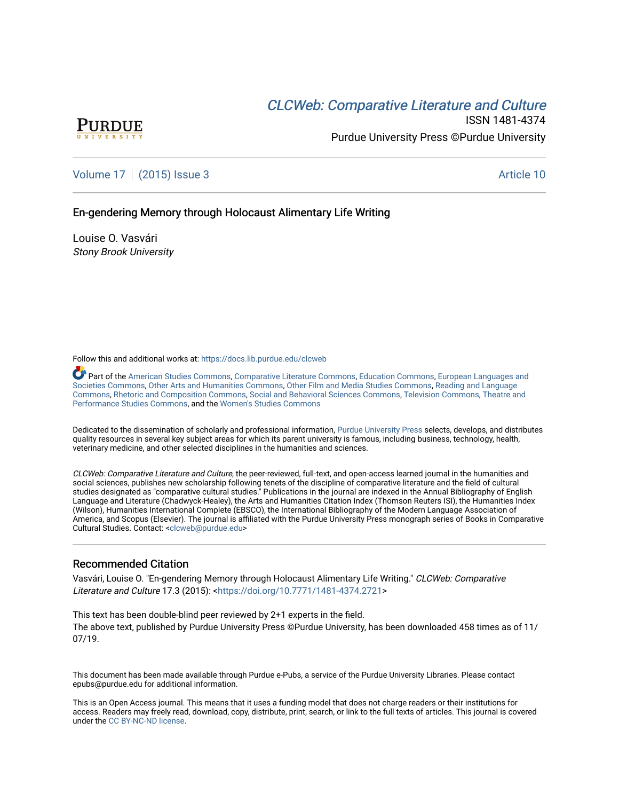# CLCW[eb: Comparative Liter](https://docs.lib.purdue.edu/clcweb)ature and Culture



ISSN 1481-4374 Purdue University Press ©Purdue University

## [Volume 17](https://docs.lib.purdue.edu/clcweb/vol17) | [\(2015\) Issue 3](https://docs.lib.purdue.edu/clcweb/vol17/iss3) Article 10

## En-gendering Memory through Holocaust Alimentary Life Writing

Louise O. Vasvári Stony Brook University

Follow this and additional works at: [https://docs.lib.purdue.edu/clcweb](https://docs.lib.purdue.edu/clcweb?utm_source=docs.lib.purdue.edu%2Fclcweb%2Fvol17%2Fiss3%2F10&utm_medium=PDF&utm_campaign=PDFCoverPages)

Part of the [American Studies Commons](http://network.bepress.com/hgg/discipline/439?utm_source=docs.lib.purdue.edu%2Fclcweb%2Fvol17%2Fiss3%2F10&utm_medium=PDF&utm_campaign=PDFCoverPages), [Comparative Literature Commons,](http://network.bepress.com/hgg/discipline/454?utm_source=docs.lib.purdue.edu%2Fclcweb%2Fvol17%2Fiss3%2F10&utm_medium=PDF&utm_campaign=PDFCoverPages) [Education Commons,](http://network.bepress.com/hgg/discipline/784?utm_source=docs.lib.purdue.edu%2Fclcweb%2Fvol17%2Fiss3%2F10&utm_medium=PDF&utm_campaign=PDFCoverPages) [European Languages and](http://network.bepress.com/hgg/discipline/482?utm_source=docs.lib.purdue.edu%2Fclcweb%2Fvol17%2Fiss3%2F10&utm_medium=PDF&utm_campaign=PDFCoverPages) [Societies Commons](http://network.bepress.com/hgg/discipline/482?utm_source=docs.lib.purdue.edu%2Fclcweb%2Fvol17%2Fiss3%2F10&utm_medium=PDF&utm_campaign=PDFCoverPages), [Other Arts and Humanities Commons](http://network.bepress.com/hgg/discipline/577?utm_source=docs.lib.purdue.edu%2Fclcweb%2Fvol17%2Fiss3%2F10&utm_medium=PDF&utm_campaign=PDFCoverPages), [Other Film and Media Studies Commons](http://network.bepress.com/hgg/discipline/565?utm_source=docs.lib.purdue.edu%2Fclcweb%2Fvol17%2Fiss3%2F10&utm_medium=PDF&utm_campaign=PDFCoverPages), [Reading and Language](http://network.bepress.com/hgg/discipline/1037?utm_source=docs.lib.purdue.edu%2Fclcweb%2Fvol17%2Fiss3%2F10&utm_medium=PDF&utm_campaign=PDFCoverPages)  [Commons,](http://network.bepress.com/hgg/discipline/1037?utm_source=docs.lib.purdue.edu%2Fclcweb%2Fvol17%2Fiss3%2F10&utm_medium=PDF&utm_campaign=PDFCoverPages) [Rhetoric and Composition Commons](http://network.bepress.com/hgg/discipline/573?utm_source=docs.lib.purdue.edu%2Fclcweb%2Fvol17%2Fiss3%2F10&utm_medium=PDF&utm_campaign=PDFCoverPages), [Social and Behavioral Sciences Commons](http://network.bepress.com/hgg/discipline/316?utm_source=docs.lib.purdue.edu%2Fclcweb%2Fvol17%2Fiss3%2F10&utm_medium=PDF&utm_campaign=PDFCoverPages), [Television Commons](http://network.bepress.com/hgg/discipline/1143?utm_source=docs.lib.purdue.edu%2Fclcweb%2Fvol17%2Fiss3%2F10&utm_medium=PDF&utm_campaign=PDFCoverPages), [Theatre and](http://network.bepress.com/hgg/discipline/552?utm_source=docs.lib.purdue.edu%2Fclcweb%2Fvol17%2Fiss3%2F10&utm_medium=PDF&utm_campaign=PDFCoverPages) [Performance Studies Commons,](http://network.bepress.com/hgg/discipline/552?utm_source=docs.lib.purdue.edu%2Fclcweb%2Fvol17%2Fiss3%2F10&utm_medium=PDF&utm_campaign=PDFCoverPages) and the [Women's Studies Commons](http://network.bepress.com/hgg/discipline/561?utm_source=docs.lib.purdue.edu%2Fclcweb%2Fvol17%2Fiss3%2F10&utm_medium=PDF&utm_campaign=PDFCoverPages)

Dedicated to the dissemination of scholarly and professional information, [Purdue University Press](http://www.thepress.purdue.edu/) selects, develops, and distributes quality resources in several key subject areas for which its parent university is famous, including business, technology, health, veterinary medicine, and other selected disciplines in the humanities and sciences.

CLCWeb: Comparative Literature and Culture, the peer-reviewed, full-text, and open-access learned journal in the humanities and social sciences, publishes new scholarship following tenets of the discipline of comparative literature and the field of cultural studies designated as "comparative cultural studies." Publications in the journal are indexed in the Annual Bibliography of English Language and Literature (Chadwyck-Healey), the Arts and Humanities Citation Index (Thomson Reuters ISI), the Humanities Index (Wilson), Humanities International Complete (EBSCO), the International Bibliography of the Modern Language Association of America, and Scopus (Elsevier). The journal is affiliated with the Purdue University Press monograph series of Books in Comparative Cultural Studies. Contact: [<clcweb@purdue.edu](mailto:clcweb@purdue.edu)>

## Recommended Citation

Vasvári, Louise O. "En-gendering Memory through Holocaust Alimentary Life Writing." CLCWeb: Comparative Literature and Culture 17.3 (2015): <<https://doi.org/10.7771/1481-4374.2721>>

This text has been double-blind peer reviewed by 2+1 experts in the field. The above text, published by Purdue University Press ©Purdue University, has been downloaded 458 times as of 11/ 07/19.

This document has been made available through Purdue e-Pubs, a service of the Purdue University Libraries. Please contact epubs@purdue.edu for additional information.

This is an Open Access journal. This means that it uses a funding model that does not charge readers or their institutions for access. Readers may freely read, download, copy, distribute, print, search, or link to the full texts of articles. This journal is covered under the [CC BY-NC-ND license.](https://creativecommons.org/licenses/by-nc-nd/4.0/)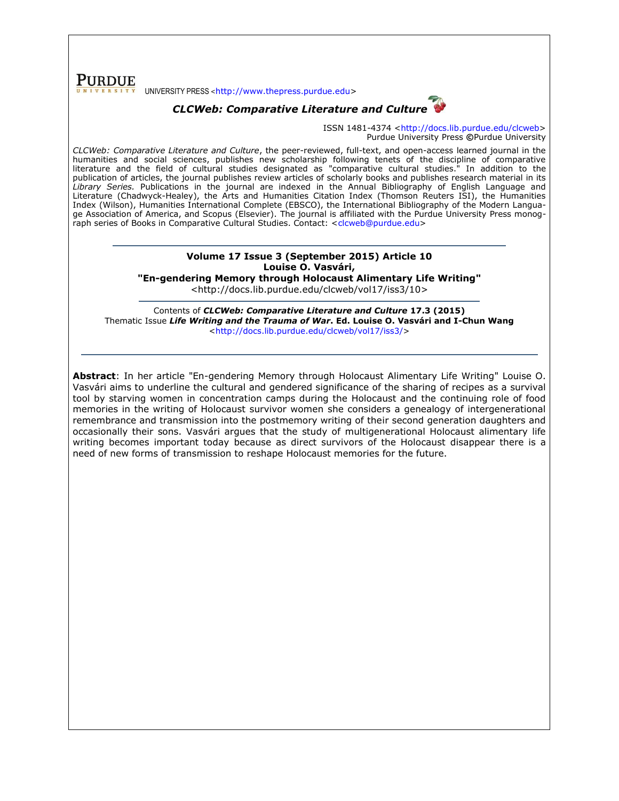**PURDUE** UNIVERSITY PRESS <[http://www.thepress.purdue.edu>](http://www.thepress.purdue.edu/)



ISSN 1481-4374 [<http://docs.lib.purdue.edu/clcweb>](http://docs.lib.purdue.edu/clcweb) Purdue University Press **©**Purdue University

*CLCWeb: Comparative Literature and Culture*, the peer-reviewed, full-text, and open-access learned journal in the humanities and social sciences, publishes new scholarship following tenets of the discipline of comparative literature and the field of cultural studies designated as "comparative cultural studies." In addition to the publication of articles, the journal publishes review articles of scholarly books and publishes research material in its *Library Series.* Publications in the journal are indexed in the Annual Bibliography of English Language and Literature (Chadwyck-Healey), the Arts and Humanities Citation Index (Thomson Reuters ISI), the Humanities Index (Wilson), Humanities International Complete (EBSCO), the International Bibliography of the Modern Language Association of America, and Scopus (Elsevier). The journal is affiliated with the Purdue University Press monog-raph series of Books in Comparative Cultural Studies. Contact: [<clcweb@purdue.edu>](mailto:clcweb@purdue.edu)

### **Volume 17 Issue 3 (September 2015) Article 10 Louise O. Vasvári, "En-gendering Memory through Holocaust Alimentary Life Writing"**

<http://docs.lib.purdue.edu/clcweb/vol17/iss3/10>

Contents of *CLCWeb: Comparative Literature and Culture* **17.3 (2015)** Thematic Issue *Life Writing and the Trauma of War***. Ed. Louise O. Vasvári and I-Chun Wang** [<http://docs.lib.purdue.edu/clcweb/vol17/iss3/>](http://docs.lib.purdue.edu/clcweb/vol17/iss3/)

**Abstract**: In her article "En-gendering Memory through Holocaust Alimentary Life Writing" Louise O. Vasvári aims to underline the cultural and gendered significance of the sharing of recipes as a survival tool by starving women in concentration camps during the Holocaust and the continuing role of food memories in the writing of Holocaust survivor women she considers a genealogy of intergenerational remembrance and transmission into the postmemory writing of their second generation daughters and occasionally their sons. Vasvári argues that the study of multigenerational Holocaust alimentary life writing becomes important today because as direct survivors of the Holocaust disappear there is a need of new forms of transmission to reshape Holocaust memories for the future.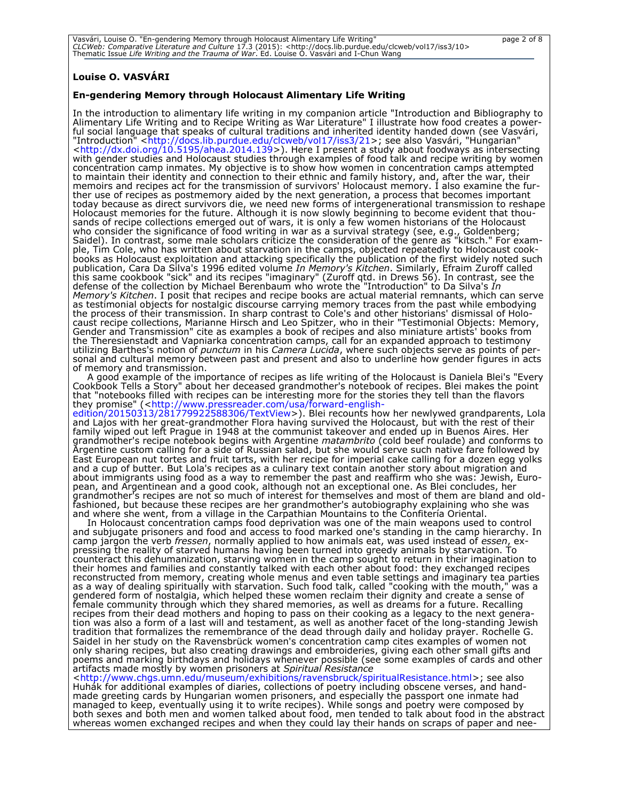| Vasvári, Louise O. "En-gendering Memory through Holocaust Alimentary Life Writing"                                              | page 2 of 8 |
|---------------------------------------------------------------------------------------------------------------------------------|-------------|
| CLCWeb: Comparative Literature and Culture 17.3 (2015): <http: 10="" clcweb="" docs.lib.purdue.edu="" iss3="" vol17=""></http:> |             |
| Thematic Issue Life Writing and the Trauma of War. Ed. Louise O. Vasvári and I-Chun Wang                                        |             |

### **Louise O. VASVÁRI**

#### **En-gendering Memory through Holocaust Alimentary Life Writing**

In the introduction to alimentary life writing in my companion article "Introduction and Bibliography to Alimentary Life Writing and to Recipe Writing as War Literature" I illustrate how food creates a powerful social language that speaks of cultural traditions and inherited identity handed down (see Vasvári, "Introduction" [<http://docs.lib.purdue.edu/clcweb/vol17/iss3/21>](http://docs.lib.purdue.edu/clcweb/vol17/iss3/21); see also Vasvári, "Hungarian" [<http://dx.doi.org/10.5195/ahea.2014.139>](http://dx.doi.org/10.5195/ahea.2014.139)). Here I present a study about foodways as intersecting with gender studies and Holocaust studies through examples of food talk and recipe writing by women concentration camp inmates. My objective is to show how women in concentration camps attempted to maintain their identity and connection to their ethnic and family history, and, after the war, their memoirs and recipes act for the transmission of survivors' Holocaust memory. I also examine the further use of recipes as postmemory aided by the next generation, a process that becomes important today because as direct survivors die, we need new forms of intergenerational transmission to reshape Holocaust memories for the future. Although it is now slowly beginning to become evident that thousands of recipe collections emerged out of wars, it is only a few women historians of the Holocaust who consider the significance of food writing in war as a survival strategy (see, e.g., Goldenberg; Saidel). In contrast, some male scholars criticize the consideration of the genre as "kitsch." For example, Tim Cole, who has written about starvation in the camps, objected repeatedly to Holocaust cookbooks as Holocaust exploitation and attacking specifically the publication of the first widely noted such publication, Cara Da Silva's 1996 edited volume *In Memory's Kitchen*. Similarly, Efraim Zuroff called this same cookbook "sick" and its recipes "imaginary" (Zuroff qtd. in Drews 56). In contrast, see the defense of the collection by Michael Berenbaum who wrote the "Introduction" to Da Silva's *In Memory's Kitchen*. I posit that recipes and recipe books are actual material remnants, which can serve as testimonial objects for nostalgic discourse carrying memory traces from the past while embodying the process of their transmission. In sharp contrast to Cole's and other historians' dismissal of Holocaust recipe collections, Marianne Hirsch and Leo Spitzer, who in their "Testimonial Objects: Memory, Gender and Transmission" cite as examples a book of recipes and also miniature artists' books from the Theresienstadt and Vapniarka concentration camps, call for an expanded approach to testimony utilizing Barthes's notion of *punctum* in his *Camera Lucida*, where such objects serve as points of personal and cultural memory between past and present and also to underline how gender figures in acts of memory and transmission.

A good example of the importance of recipes as life writing of the Holocaust is Daniela Blei's "Every Cookbook Tells a Story" about her deceased grandmother's notebook of recipes. Blei makes the point that "notebooks filled with recipes can be interesting more for the stories they tell than the flavors they promise" ([<http://www.pressreader.com/usa/forward-english-](http://www.pressreader.com/usa/forward-english-edition/20150313/281779922588306/TextView)

[edition/20150313/281779922588306/TextView>](http://www.pressreader.com/usa/forward-english-edition/20150313/281779922588306/TextView)). Blei recounts how her newlywed grandparents, Lola and Lajos with her great-grandmother Flora having survived the Holocaust, but with the rest of their family wiped out left Prague in 1948 at the communist takeover and ended up in Buenos Aires. Her grandmother's recipe notebook begins with Argentine *matambrito* (cold beef roulade) and conforms to Argentine custom calling for a side of Russian salad, but she would serve such native fare followed by East European nut tortes and fruit tarts, with her recipe for imperial cake calling for a dozen egg yolks and a cup of butter. But Lola's recipes as a culinary text contain another story about migration and about immigrants using food as a way to remember the past and reaffirm who she was: Jewish, European, and Argentinean and a good cook, although not an exceptional one. As Blei concludes, her grandmother's recipes are not so much of interest for themselves and most of them are bland and oldfashioned, but because these recipes are her grandmother's autobiography explaining who she was and where she went, from a village in the Carpathian Mountains to the Confitería Oriental.

In Holocaust concentration camps food deprivation was one of the main weapons used to control and subjugate prisoners and food and access to food marked one's standing in the camp hierarchy. In camp jargon the verb *fressen*, normally applied to how animals eat, was used instead of *essen*, expressing the reality of starved humans having been turned into greedy animals by starvation. To counteract this dehumanization, starving women in the camp sought to return in their imagination to their homes and families and constantly talked with each other about food: they exchanged recipes reconstructed from memory, creating whole menus and even table settings and imaginary tea parties as a way of dealing spiritually with starvation. Such food talk, called "cooking with the mouth," was a gendered form of nostalgia, which helped these women reclaim their dignity and create a sense of female community through which they shared memories, as well as dreams for a future. Recalling recipes from their dead mothers and hoping to pass on their cooking as a legacy to the next generation was also a form of a last will and testament, as well as another facet of the long-standing Jewish tradition that formalizes the remembrance of the dead through daily and holiday prayer. Rochelle G. Saidel in her study on the Ravensbrück women's concentration camp cites examples of women not only sharing recipes, but also creating drawings and embroideries, giving each other small gifts and poems and marking birthdays and holidays whenever possible (see some examples of cards and other artifacts made mostly by women prisoners at *Spiritual Resistance* 

[<http://www.chgs.umn.edu/museum/exhibitions/ravensbruck/spiritualResistance.html>](http://www.chgs.umn.edu/museum/exhibitions/ravensbruck/spiritualResistance.html); see also Huhák for additional examples of diaries, collections of poetry including obscene verses, and handmade greeting cards by Hungarian women prisoners, and especially the passport one inmate had managed to keep, eventually using it to write recipes). While songs and poetry were composed by both sexes and both men and women talked about food, men tended to talk about food in the abstract whereas women exchanged recipes and when they could lay their hands on scraps of paper and nee-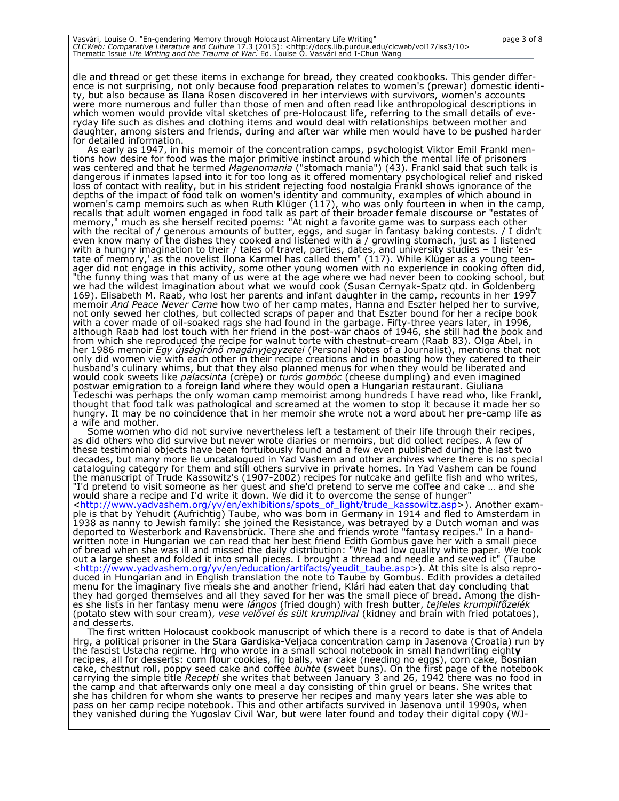dle and thread or get these items in exchange for bread, they created cookbooks. This gender difference is not surprising, not only because food preparation relates to women's (prewar) domestic identity, but also because as Ilana Rosen discovered in her interviews with survivors, women's accounts were more numerous and fuller than those of men and often read like anthropological descriptions in which women would provide vital sketches of pre-Holocaust life, referring to the small details of everyday life such as dishes and clothing items and would deal with relationships between mother and daughter, among sisters and friends, during and after war while men would have to be pushed harder for detailed information.

As early as 1947, in his memoir of the concentration camps, psychologist Viktor Emil Frankl mentions how desire for food was the major primitive instinct around which the mental life of prisoners was centered and that he termed *Magenomania* ("stomach mania") (43). Frankl said that such talk is dangerous if inmates lapsed into it for too long as it offered momentary psychological relief and risked loss of contact with reality, but in his strident rejecting food nostalgia Frankl shows ignorance of the depths of the impact of food talk on women's identity and community, examples of which abound in women's camp memoirs such as when Ruth Klüger (117), who was only fourteen in when in the camp, recalls that adult women engaged in food talk as part of their broader female discourse or "estates of memory," much as she herself recited poems: "At night a favorite game was to surpass each other with the recital of / generous amounts of butter, eggs, and sugar in fantasy baking contests. / I didn't even know many of the dishes they cooked and listened with a / growling stomach, just as I listened with a hungry imagination to their / tales of travel, parties, dates, and university studies – their 'estate of memory,' as the novelist Ilona Karmel has called them" (117). While Klüger as a young teenager did not engage in this activity, some other young women with no experience in cooking often did, "the funny thing was that many of us were at the age where we had never been to cooking school, but we had the wildest imagination about what we would cook (Susan Cernyak-Spatz qtd. in Goldenberg 169). Elisabeth M. Raab, who lost her parents and infant daughter in the camp, recounts in her 1997 memoir *And Peace Never Came* how two of her camp mates, Hanna and Eszter helped her to survive, not only sewed her clothes, but collected scraps of paper and that Eszter bound for her a recipe book with a cover made of oil-soaked rags she had found in the garbage. Fifty-three years later, in 1996, although Raab had lost touch with her friend in the post-war chaos of 1946, she still had the book and from which she reproduced the recipe for walnut torte with chestnut-cream (Raab 83). Olga Ábel, in her 1986 memoir *Egy újságírónő magányjegyzetei* (Personal Notes of a Journalist), mentions that not only did women vie with each other in their recipe creations and in boasting how they catered to their husband's culinary whims, but that they also planned menus for when they would be liberated and would cook sweets like *palacsinta* (crèpe) or *turós gombóc* (cheese dumpling) and even imagined postwar emigration to a foreign land where they would open a Hungarian restaurant. Giuliana Tedeschi was perhaps the only woman camp memoirist among hundreds I have read who, like Frankl, thought that food talk was pathological and screamed at the women to stop it because it made her so hungry. It may be no coincidence that in her memoir she wrote not a word about her pre-camp life as a wife and mother.

Some women who did not survive nevertheless left a testament of their life through their recipes, as did others who did survive but never wrote diaries or memoirs, but did collect recipes. A few of these testimonial objects have been fortuitously found and a few even published during the last two decades, but many more lie uncatalogued in Yad Vashem and other archives where there is no special cataloguing category for them and still others survive in private homes. In Yad Vashem can be found the manuscript of Trude Kassowitz's (1907-2002) recipes for nutcake and gefilte fish and who writes, "I'd pretend to visit someone as her guest and she'd pretend to serve me coffee and cake … and she would share a recipe and I'd write it down. We did it to overcome the sense of hunger"

[<http://www.yadvashem.org/yv/en/exhibitions/spots\\_of\\_light/trude\\_kassowitz.asp>](http://www.yadvashem.org/yv/en/exhibitions/spots_of_light/trude_kassowitz.asp)). Another example is that by Yehudit (Aufrichtig) Taube, who was born in Germany in 1914 and fled to Amsterdam in 1938 as nanny to Jewish family: she joined the Resistance, was betrayed by a Dutch woman and was deported to Westerbork and Ravensbrück. There she and friends wrote "fantasy recipes." In a handwritten note in Hungarian we can read that her best friend Edith Gombus gave her with a small piece of bread when she was ill and missed the daily distribution: "We had low quality white paper. We took out a large sheet and folded it into small pieces. I brought a thread and needle and sewed it" (Taube [<http://www.yadvashem.org/yv/en/education/artifacts/yeudit\\_taube.asp>](http://www.yadvashem.org/yv/en/education/artifacts/yeudit_taube.asp)). At this site is also reproduced in Hungarian and in English translation the note to Taube by Gombus. Edith provides a detailed menu for the imaginary five meals she and another friend, Klári had eaten that day concluding that they had gorged themselves and all they saved for her was the small piece of bread. Among the dishes she lists in her fantasy menu were *lángos* (fried dough) with fresh butter, *tejfeles krumplifőzelék*  (potato stew with sour cream), *vese velővel és sült krumplival* (kidney and brain with fried potatoes), and desserts.

The first written Holocaust cookbook manuscript of which there is a record to date is that of Andela Hrg, a political prisoner in the Stara Gardiska-Veljaca concentration camp in Jasenova (Croatia) run by the fascist Ustacha regime. Hrg who wrote in a small school notebook in small handwriting eight**y** recipes, all for desserts: corn flour cookies, fig balls, war cake (needing no eggs), corn cake, Bosnian cake, chestnut roll, poppy seed cake and coffee *buhte* (sweet buns). On the first page of the notebook carrying the simple title *Recepti* she writes that between January 3 and 26, 1942 there was no food in the camp and that afterwards only one meal a day consisting of thin gruel or beans. She writes that she has children for whom she wants to preserve her recipes and many years later she was able to pass on her camp recipe notebook. This and other artifacts survived in Jasenova until 1990s, when they vanished during the Yugoslav Civil War, but were later found and today their digital copy (WJ-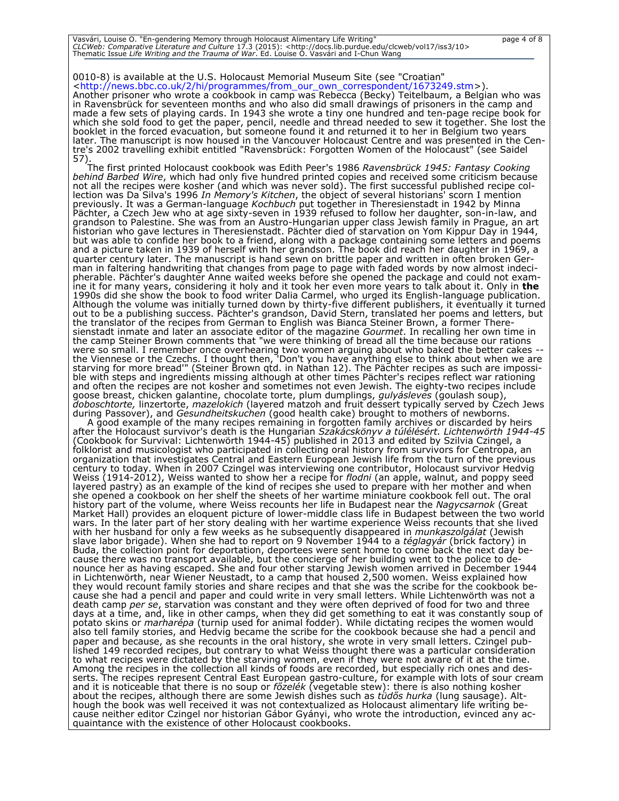| Vasvári, Louise O. "En-gendering Memory through Holocaust Alimentary Life Writing"                                              | page 4 of 8 |
|---------------------------------------------------------------------------------------------------------------------------------|-------------|
| CLCWeb: Comparative Literature and Culture 17.3 (2015): <http: 10="" clcweb="" docs.lib.purdue.edu="" iss3="" vol17=""></http:> |             |
| Thematic Issue Life Writing and the Trauma of War. Ed. Louise O. Vasvári and I-Chun Wang                                        |             |

0010-8) is available at the U.S. Holocaust Memorial Museum Site (see "Croatian" [<http://news.bbc.co.uk/2/hi/programmes/from\\_our\\_own\\_correspondent/1673249.stm>](http://news.bbc.co.uk/2/hi/programmes/from_our_own_correspondent/1673249.stm)).

Another prisoner who wrote a cookbook in camp was Rebecca (Becky) Teitelbaum, a Belgian who was in Ravensbrück for seventeen months and who also did small drawings of prisoners in the camp and made a few sets of playing cards. In 1943 she wrote a tiny one hundred and ten-page recipe book for which she sold food to get the paper, pencil, needle and thread needed to sew it together. She lost the booklet in the forced evacuation, but someone found it and returned it to her in Belgium two years later. The manuscript is now housed in the Vancouver Holocaust Centre and was presented in the Centre's 2002 travelling exhibit entitled "Ravensbrück: Forgotten Women of the Holocaust" (see Saidel 57).

The first printed Holocaust cookbook was Edith Peer's 1986 *Ravensbrück 1945: Fantasy Cooking behind Barbed Wire*, which had only five hundred printed copies and received some criticism because not all the recipes were kosher (and which was never sold). The first successful published recipe collection was Da Silva's 1996 *In Memory's Kitchen*, the object of several historians' scorn I mention previously. It was a German-language *Kochbuch* put together in Theresienstadt in 1942 by Minna Pächter, a Czech Jew who at age sixty-seven in 1939 refused to follow her daughter, son-in-law, and grandson to Palestine. She was from an Austro-Hungarian upper class Jewish family in Prague, an art historian who gave lectures in Theresienstadt. Pächter died of starvation on Yom Kippur Day in 1944, but was able to confide her book to a friend, along with a package containing some letters and poems and a picture taken in 1939 of herself with her grandson. The book did reach her daughter in 1969, a quarter century later. The manuscript is hand sewn on brittle paper and written in often broken German in faltering handwriting that changes from page to page with faded words by now almost indecipherable. Pächter's daughter Anne waited weeks before she opened the package and could not examine it for many years, considering it holy and it took her even more years to talk about it. Only in **the**  1990s did she show the book to food writer Dalia Carmel, who urged its English-language publication. Although the volume was initially turned down by thirty-five different publishers, it eventually it turned out to be a publishing success. Pächter's grandson, David Stern, translated her poems and letters, but the translator of the recipes from German to English was Bianca Steiner Brown, a former Theresienstadt inmate and later an associate editor of the magazine *Gourmet*. In recalling her own time in the camp Steiner Brown comments that "we were thinking of bread all the time because our rations were so small. I remember once overhearing two women arguing about who baked the better cakes - the Viennese or the Czechs. I thought then, 'Don't you have anything else to think about when we are starving for more bread'" (Steiner Brown qtd. in Nathan 12). The Pächter recipes as such are impossible with steps and ingredients missing although at other times Pächter's recipes reflect war rationing and often the recipes are not kosher and sometimes not even Jewish. The eighty-two recipes include goose breast, chicken galantine, chocolate torte, plum dumplings, *gulyásleves* (goulash soup), *doboschtorte,* linzertorte, *mazelokich* (layered matzoh and fruit dessert typically served by Czech Jews during Passover), and *Gesundheitskuchen* (good health cake) brought to mothers of newborns.

A good example of the many recipes remaining in forgotten family archives or discarded by heirs after the Holocaust survivor's death is the Hungarian *Szakácskönyv a túlélésért. Lichtenwörth 1944-45* (Cookbook for Survival: Lichtenwörth 1944-45) published in 2013 and edited by Szilvia Czingel, a folklorist and musicologist who participated in collecting oral history from survivors for Centropa, an organization that investigates Central and Eastern European Jewish life from the turn of the previous century to today. When in 2007 Czingel was interviewing one contributor, Holocaust survivor Hedvig Weiss (1914-2012), Weiss wanted to show her a recipe for *flodni* (an apple, walnut, and poppy seed layered pastry) as an example of the kind of recipes she used to prepare with her mother and when she opened a cookbook on her shelf the sheets of her wartime miniature cookbook fell out. The oral history part of the volume, where Weiss recounts her life in Budapest near the *Nagycsarnok* (Great Market Hall) provides an eloquent picture of lower-middle class life in Budapest between the two world wars. In the later part of her story dealing with her wartime experience Weiss recounts that she lived with her husband for only a few weeks as he subsequently disappeared in *munkaszolgálat* (Jewish slave labor brigade). When she had to report on 9 November 1944 to a *téglagyár* (brick factory) in Buda, the collection point for deportation, deportees were sent home to come back the next day because there was no transport available, but the concierge of her building went to the police to denounce her as having escaped. She and four other starving Jewish women arrived in December 1944 in Lichtenwörth, near Wiener Neustadt, to a camp that housed 2,500 women. Weiss explained how they would recount family stories and share recipes and that she was the scribe for the cookbook because she had a pencil and paper and could write in very small letters. While Lichtenwörth was not a death camp *per se*, starvation was constant and they were often deprived of food for two and three days at a time, and, like in other camps, when they did get something to eat it was constantly soup of potato skins or *marharépa* (turnip used for animal fodder). While dictating recipes the women would also tell family stories, and Hedvig became the scribe for the cookbook because she had a pencil and paper and because, as she recounts in the oral history, she wrote in very small letters. Czingel published 149 recorded recipes, but contrary to what Weiss thought there was a particular consideration to what recipes were dictated by the starving women, even if they were not aware of it at the time. Among the recipes in the collection all kinds of foods are recorded, but especially rich ones and desserts. The recipes represent Central East European gastro-culture, for example with lots of sour cream and it is noticeable that there is no soup or *főzelék* (vegetable stew): there is also nothing kosher about the recipes, although there are some Jewish dishes such as *tüdős hurka* (lung sausage). Although the book was well received it was not contextualized as Holocaust alimentary life writing because neither editor Czingel nor historian Gábor Gyányi, who wrote the introduction, evinced any acquaintance with the existence of other Holocaust cookbooks.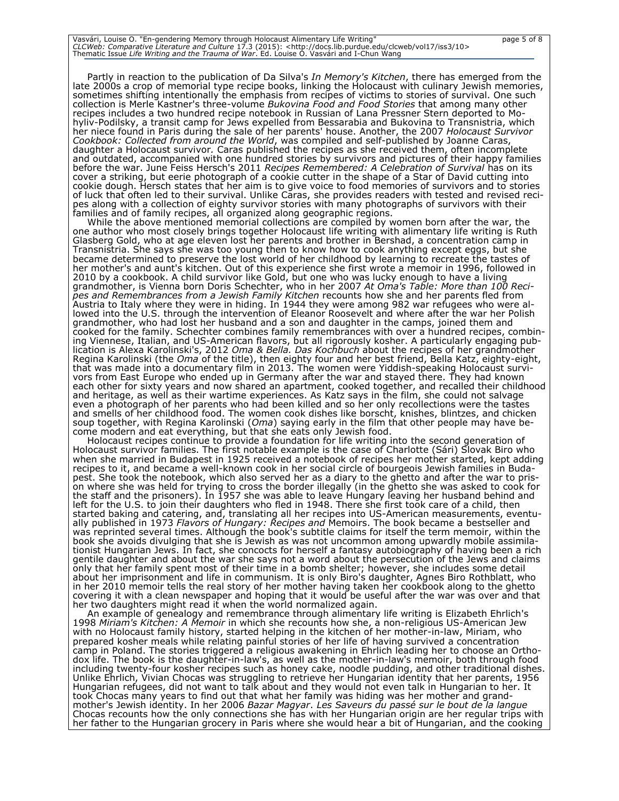Vasvári, Louise O. "En-gendering Memory through Holocaust Alimentary Life Writing"<br>*CLCWeb: Comparative Literature and Culture 17.3* (2015): <http://docs.lib.purdue.edu/clcweb/vol17/iss3/10><br>Thematic Issue *Life Writing an* 

Partly in reaction to the publication of Da Silva's *In Memory's Kitchen*, there has emerged from the late 2000s a crop of memorial type recipe books, linking the Holocaust with culinary Jewish memories, sometimes shifting intentionally the emphasis from recipes of victims to stories of survival. One such collection is Merle Kastner's three-volume *Bukovina Food and Food Stories* that among many other recipes includes a two hundred recipe notebook in Russian of Lana Pressner Stern deported to Mohyliv-Podilsky, a transit camp for Jews expelled from Bessarabia and Bukovina to Transnistria, which her niece found in Paris during the sale of her parents' house. Another, the 2007 *Holocaust Survivor Cookbook: Collected from around the World*, was compiled and self-published by Joanne Caras, daughter a Holocaust survivor*.* Caras published the recipes as she received them, often incomplete and outdated, accompanied with one hundred stories by survivors and pictures of their happy families before the war. June Feiss Hersch's 2011 *Recipes Remembered: A Celebration of Survival* has on its cover a striking, but eerie photograph of a cookie cutter in the shape of a Star of David cutting into cookie dough. Hersch states that her aim is to give voice to food memories of survivors and to stories of luck that often led to their survival. Unlike Caras, she provides readers with tested and revised recipes along with a collection of eighty survivor stories with many photographs of survivors with their families and of family recipes, all organized along geographic regions.

While the above mentioned memorial collections are compiled by women born after the war, the one author who most closely brings together Holocaust life writing with alimentary life writing is Ruth Glasberg Gold, who at age eleven lost her parents and brother in Bershad, a concentration camp in Transnistria. She says she was too young then to know how to cook anything except eggs, but she became determined to preserve the lost world of her childhood by learning to recreate the tastes of her mother's and aunt's kitchen. Out of this experience she first wrote a memoir in 1996, followed in 2010 by a cookbook. A child survivor like Gold, but one who was lucky enough to have a living grandmother, is Vienna born Doris Schechter, who in her 2007 *At Oma's Table: More than 100 Recipes and Remembrances from a Jewish Family Kitchen* recounts how she and her parents fled from Austria to Italy where they were in hiding. In 1944 they were among 982 war refugees who were allowed into the U.S. through the intervention of Eleanor Roosevelt and where after the war her Polish grandmother, who had lost her husband and a son and daughter in the camps, joined them and cooked for the family. Schechter combines family remembrances with over a hundred recipes, combining Viennese, Italian, and US-American flavors, but all rigorously kosher. A particularly engaging publication is Alexa Karolinski's, 2012 *Oma & Bella. Das Kochbuch* about the recipes of her grandmother Regina Karolinski (the *Oma* of the title), then eighty four and her best friend, Bella Katz, eighty-eight, that was made into a documentary film in 2013. The women were Yiddish-speaking Holocaust survivors from East Europe who ended up in Germany after the war and stayed there. They had known each other for sixty years and now shared an apartment, cooked together, and recalled their childhood and heritage, as well as their wartime experiences. As Katz says in the film, she could not salvage even a photograph of her parents who had been killed and so her only recollections were the tastes and smells of her childhood food. The women cook dishes like borscht, knishes, blintzes, and chicken soup together, with Regina Karolinski (*Oma*) saying early in the film that other people may have become modern and eat everything, but that she eats only Jewish food.

Holocaust recipes continue to provide a foundation for life writing into the second generation of Holocaust survivor families. The first notable example is the case of Charlotte (Sári) Slovak Biro who when she married in Budapest in 1925 received a notebook of recipes her mother started, kept adding recipes to it, and became a well-known cook in her social circle of bourgeois Jewish families in Budapest. She took the notebook, which also served her as a diary to the ghetto and after the war to prison where she was held for trying to cross the border illegally (in the ghetto she was asked to cook for the staff and the prisoners). In 1957 she was able to leave Hungary leaving her husband behind and left for the U.S. to join their daughters who fled in 1948. There she first took care of a child, then started baking and catering, and, translating all her recipes into US-American measurements, eventually published in 1973 *Flavors of Hungary: Recipes and* Memoirs. The book became a bestseller and was reprinted several times. Although the book's subtitle claims for itself the term memoir, within the book she avoids divulging that she is Jewish as was not uncommon among upwardly mobile assimilationist Hungarian Jews. In fact, she concocts for herself a fantasy autobiography of having been a rich gentile daughter and about the war she says not a word about the persecution of the Jews and claims only that her family spent most of their time in a bomb shelter; however, she includes some detail about her imprisonment and life in communism. It is only Biro's daughter, Agnes Biro Rothblatt, who in her 2010 memoir tells the real story of her mother having taken her cookbook along to the ghetto covering it with a clean newspaper and hoping that it would be useful after the war was over and that her two daughters might read it when the world normalized again.

An example of genealogy and remembrance through alimentary life writing is Elizabeth Ehrlich's 1998 *Miriam's Kitchen: A Memoir* in which she recounts how she, a non-religious US-American Jew with no Holocaust family history, started helping in the kitchen of her mother-in-law, Miriam, who prepared kosher meals while relating painful stories of her life of having survived a concentration camp in Poland. The stories triggered a religious awakening in Ehrlich leading her to choose an Orthodox life. The book is the daughter-in-law's, as well as the mother-in-law's memoir, both through food including twenty-four kosher recipes such as honey cake, noodle pudding, and other traditional dishes. Unlike Ehrlich, Vivian Chocas was struggling to retrieve her Hungarian identity that her parents, 1956 Hungarian refugees, did not want to talk about and they would not even talk in Hungarian to her. It took Chocas many years to find out that what her family was hiding was her mother and grandmother's Jewish identity. In her 2006 *Bazar Magyar*. *Les Saveurs du passé sur le bout de la langue*  Chocas recounts how the only connections she has with her Hungarian origin are her regular trips with her father to the Hungarian grocery in Paris where she would hear a bit of Hungarian, and the cooking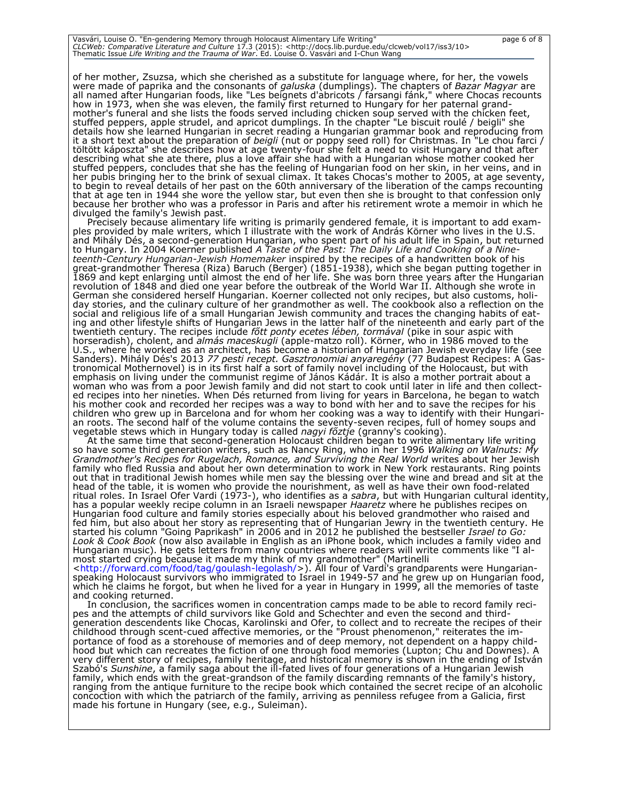| Vasvári, Louise O. "En-gendering Memory through Holocaust Alimentary Life Writing"                                              | page 6 of 8 |
|---------------------------------------------------------------------------------------------------------------------------------|-------------|
| CLCWeb: Comparative Literature and Culture 17.3 (2015): <http: 10="" clcweb="" docs.lib.purdue.edu="" iss3="" vol17=""></http:> |             |
| Thematic Issue Life Writing and the Trauma of War. Ed. Louise O. Vasvári and I-Chun Wang                                        |             |

of her mother, Zsuzsa, which she cherished as a substitute for language where, for her, the vowels were made of paprika and the consonants of *galuska* (dumplings)*.* The chapters of *Bazar Magyar* are all named after Hungarian foods, like "Les beignets d'abricots / farsangi fánk," where Chocas recounts how in 1973, when she was eleven, the family first returned to Hungary for her paternal grandmother's funeral and she lists the foods served including chicken soup served with the chicken feet, stuffed peppers, apple strudel, and apricot dumplings. In the chapter "Le biscuit roulé / beigli" she details how she learned Hungarian in secret reading a Hungarian grammar book and reproducing from it a short text about the preparation of *beigli* (nut or poppy seed roll) for Christmas. In "Le chou farci / töltött káposzta" she describes how at age twenty-four she felt a need to visit Hungary and that after describing what she ate there, plus a love affair she had with a Hungarian whose mother cooked her stuffed peppers, concludes that she has the feeling of Hungarian food on her skin, in her veins, and in her pubis bringing her to the brink of sexual climax. It takes Chocas's mother to 2005, at age seventy, to begin to reveal details of her past on the 60th anniversary of the liberation of the camps recounting that at age ten in 1944 she wore the yellow star, but even then she is brought to that confession only because her brother who was a professor in Paris and after his retirement wrote a memoir in which he divulged the family's Jewish past.

Precisely because alimentary life writing is primarily gendered female, it is important to add examples provided by male writers, which I illustrate with the work of András Körner who lives in the U.S. and Mihály Dés, a second-generation Hungarian, who spent part of his adult life in Spain, but returned to Hungary. In 2004 Koerner published *A Taste of the Past: The Daily Life and Cooking of a Nineteenth-Century Hungarian-Jewish Homemaker* inspired by the recipes of a handwritten book of his great-grandmother Theresa (Riza) Baruch (Berger) (1851-1938), which she began putting together in 1869 and kept enlarging until almost the end of her life. She was born three years after the Hungarian revolution of 1848 and died one year before the outbreak of the World War II. Although she wrote in German she considered herself Hungarian. Koerner collected not only recipes, but also customs, holiday stories, and the culinary culture of her grandmother as well. The cookbook also a reflection on the social and religious life of a small Hungarian Jewish community and traces the changing habits of eating and other lifestyle shifts of Hungarian Jews in the latter half of the nineteenth and early part of the twentieth century. The recipes include *főtt ponty ecetes lében, tormával* (pike in sour aspic with horseradish), cholent, and *almás maceskugli* (apple-matzo roll). Körner, who in 1986 moved to the U.S., where he worked as an architect, has become a historian of Hungarian Jewish everyday life (see Sanders). Mihály Dés's 2013 *77 pesti recept. Gasztronomiai anyaregény* (77 Budapest Recipes: A Gastronomical Mothernovel) is in its first half a sort of family novel including of the Holocaust, but with emphasis on living under the communist regime of János Kádár. It is also a mother portrait about a woman who was from a poor Jewish family and did not start to cook until later in life and then collected recipes into her nineties. When Dés returned from living for years in Barcelona, he began to watch his mother cook and recorded her recipes was a way to bond with her and to save the recipes for his children who grew up in Barcelona and for whom her cooking was a way to identify with their Hungarian roots. The second half of the volume contains the seventy-seven recipes, full of homey soups and vegetable stews which in Hungary today is called *nagyi főztje* (granny's cooking).

At the same time that second-generation Holocaust children began to write alimentary life writing so have some third generation writers, such as Nancy Ring, who in her 1996 *Walking on Walnuts: My Grandmother's Recipes for Rugelach, Romance, and Surviving the Real World* writes about her Jewish family who fled Russia and about her own determination to work in New York restaurants. Ring points out that in traditional Jewish homes while men say the blessing over the wine and bread and sit at the head of the table, it is women who provide the nourishment, as well as have their own food-related ritual roles. In Israel Ofer Vardi (1973-), who identifies as a *sabra*, but with Hungarian cultural identity, has a popular weekly recipe column in an Israeli newspaper *Haaretz* where he publishes recipes on Hungarian food culture and family stories especially about his beloved grandmother who raised and fed him, but also about her story as representing that of Hungarian Jewry in the twentieth century. He started his column "Going Paprikash" in 2006 and in 2012 he published the bestseller *Israel to Go: Look & Cook Book* (now also available in English as an iPhone book, which includes a family video and Hungarian music). He gets letters from many countries where readers will write comments like "I almost started crying because it made my think of my grandmother" (Martinelli

[<http://forward.com/food/tag/goulash-legolash/>](http://forward.com/food/tag/goulash-legolash/)). All four of Vardi's grandparents were Hungarianspeaking Holocaust survivors who immigrated to Israel in 1949-57 and he grew up on Hungarian food, which he claims he forgot, but when he lived for a year in Hungary in 1999, all the memories of taste and cooking returned.

In conclusion, the sacrifices women in concentration camps made to be able to record family recipes and the attempts of child survivors like Gold and Schechter and even the second and thirdgeneration descendents like Chocas, Karolinski and Ofer, to collect and to recreate the recipes of their childhood through scent-cued affective memories, or the "Proust phenomenon," reiterates the importance of food as a storehouse of memories and of deep memory, not dependent on a happy childhood but which can recreates the fiction of one through food memories (Lupton; Chu and Downes). A very different story of recipes, family heritage, and historical memory is shown in the ending of István Szabó's *Sunshine*, a family saga about the ill-fated lives of four generations of a Hungarian Jewish family, which ends with the great-grandson of the family discarding remnants of the family's history, ranging from the antique furniture to the recipe book which contained the secret recipe of an alcoholic concoction with which the patriarch of the family, arriving as penniless refugee from a Galicia, first made his fortune in Hungary (see, e.g., Suleiman).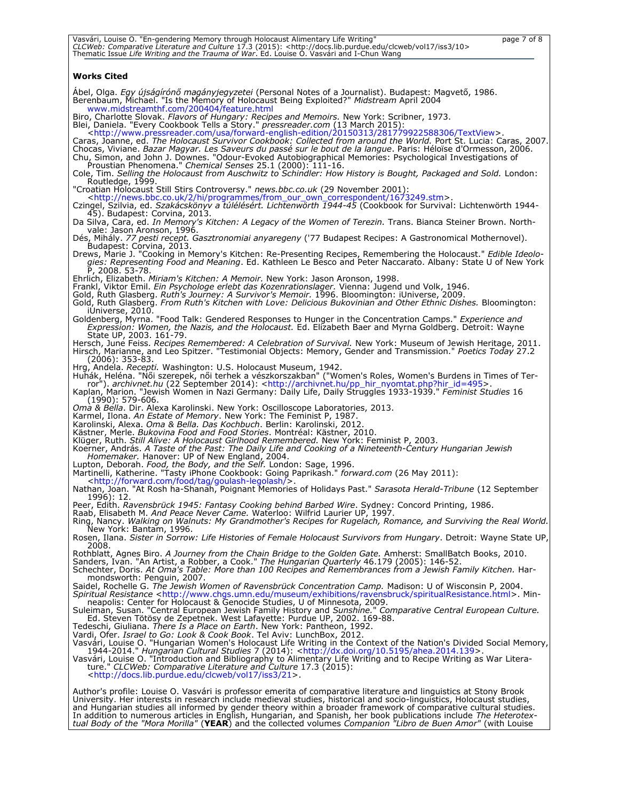| Vasvári, Louise O. "En-gendering Memory through Holocaust Alimentary Life Writing"<br>page 7 of 8                                                                                                                                                                                                                                                                                                                                                                                                                                                                                                 |
|---------------------------------------------------------------------------------------------------------------------------------------------------------------------------------------------------------------------------------------------------------------------------------------------------------------------------------------------------------------------------------------------------------------------------------------------------------------------------------------------------------------------------------------------------------------------------------------------------|
| CLCWeb: Comparative Literature and Culture 17.3 (2015): <http: 10="" clcweb="" docs.lib.purdue.edu="" iss3="" vol17=""><br/>Thematic Issue Life Writing and the Trauma of War. Ed. Louise O. Vasvári and I-Chun Wang</http:>                                                                                                                                                                                                                                                                                                                                                                      |
| Works Cited                                                                                                                                                                                                                                                                                                                                                                                                                                                                                                                                                                                       |
| Abel, Olga. Egy újságírónő magányjegyzetei (Personal Notes of a Journalist). Budapest: Magvető, 1986.<br>Berenbaum, Michael. "Is the Memory of Holocaust Being Exploited?" Midstream April 2004<br>www.midstreamthf.com/200404/feature.html                                                                                                                                                                                                                                                                                                                                                       |
| Biro, Charlotte Slovak. Flavors of Hungary: Recipes and Memoirs. New York: Scribner, 1973.<br>Blei, Daniela. "Every Cookbook Tells a Story." <i>pressreader.com</i> (13 March 2015):<br><http: 20150313="" 281779922588306="" forward-english-edition="" textview="" usa="" www.pressreader.com="">.</http:>                                                                                                                                                                                                                                                                                      |
| Caras, Joanne, ed. The Holocaust Survivor Cookbook: Collected from around the World. Port St. Lucia: Caras, 2007.<br>Chocas, Viviane. Bazar Magyar. Les Saveurs du passé sur le bout de la langue. Paris: Héloïse d'Ormesson, 2006.<br>Chu, Simon, and John J. Downes. "Odour-Evoked Autobiographical Memories: Psychological Investigations of<br>Proustian Phenomena." Chemical Senses 25.1 (2000): 111-16.                                                                                                                                                                                     |
| Cole, Tim. Selling the Holocaust from Auschwitz to Schindler: How History is Bought, Packaged and Sold. London:<br>Routledge, 1999.                                                                                                                                                                                                                                                                                                                                                                                                                                                               |
| "Croatian Holocaust Still Stirs Controversy." news.bbc.co.uk (29 November 2001):<br><http: 1673249.stm="" 2="" from_our_own_correspondent="" hi="" news.bbc.co.uk="" programmes="">.<br/>Czingel, Szilvia, ed. Szakácskönyv a túlélésért. Lichtenwörth 1944-45 (Cookbook for Survival: Lichtenwörth 1944-<br/>45). Budapest: Corvina, 2013.</http:>                                                                                                                                                                                                                                               |
| Da Silva, Cara, ed. <i>In Memory's Kitchen: A Legacy of the Women of Terezin.</i> Trans. Bianca Steiner Brown. North-<br>vale: Jason Aronson, 1996.<br>Dés, Mihály. 77 pesti recept. Gasztronomiai anyaregeny ('77 Budapest Recipes: A Gastronomical Mothernovel).                                                                                                                                                                                                                                                                                                                                |
| Budapest: Corvina, 2013.<br>Drews, Marie J. "Cooking in Memory's Kitchen: Re-Presenting Recipes, Remembering the Holocaust." <i>Edible Ideolo-</i>                                                                                                                                                                                                                                                                                                                                                                                                                                                |
| gies: Representing Food and Meaning. Ed. Kathleen Le Besco and Peter Naccarato. Albany: State U of New York<br>P, 2008. 53-78.                                                                                                                                                                                                                                                                                                                                                                                                                                                                    |
| Ehrlich, Elizabeth. <i>Miriam's Kitchen: A Memoir.</i> New York: Jason Aronson, 1998.<br>Frankl, Viktor Emil. Ein Psychologe erlebt das Kozenrationslager. Vienna: Jugend und Volk, 1946.<br>Gold, Ruth Glasberg. Ruth's Journey: A Survivor's Memoir. 1996. Bloomington: iUniverse, 2009.<br>Gold, Ruth Glasberg, <i>From Ruth's Kitchen with Love: Delicious Bukovinian and Other Ethnic Dishes</i> . Bloomington:                                                                                                                                                                              |
| iUniverse, 2010.<br>Goldenberg, Myrna. "Food Talk: Gendered Responses to Hunger in the Concentration Camps." <i>Experience and</i><br>Expression: Women, the Nazis, and the Holocaust. Ed. Elizabeth Baer and Myrna Goldberg. Detroit: Wayne                                                                                                                                                                                                                                                                                                                                                      |
| State UP, 2003. 161-79.<br>Hersch, June Feiss. Recipes Remembered: A Celebration of Survival. New York: Museum of Jewish Heritage, 2011.<br>Hirsch, Marianne, and Leo Spitzer. "Testimonial Objects: Memory, Gender and Transmission." Poetics Today 27.2<br>(2006): 353-83.                                                                                                                                                                                                                                                                                                                      |
| Hrg, Andela. <i>Recepti.</i> Washington: U.S. Holocaust Museum, 1942.<br>Huhák, Heléna. "Női szerepek, női terhek a vészkorszakban" ("Women's Roles, Women's Burdens in Times of Ter-<br>ror"). archivnet.hu (22 September 2014): <http: archivnet.hu="" pp_hir_nyomtat.php?hir_id="495">.<br/>Kaplan, Marion. "Jewish Women in Nazi Germany: Daily Life, Daily Struggles 1933-1939." Feminist Studies 16</http:>                                                                                                                                                                                 |
| (1990): 579-606.<br><i>Oma &amp; Bella. Dir. Alexa Karolinski. New York: Oscilloscope Laboratories, 2013.</i><br>Karmel, Ilona. An Estate of Memory. New York: The Feminist P, 1987.<br>Karolinski, Alexa. <i>Oma &amp; Bella. Das Kochbuch</i> . Berlin: Karolinski, 2012.                                                                                                                                                                                                                                                                                                                       |
| Kästner, Merle. Bukovina Food and Food Stories. Montréal: Kästner, 2010.<br>Klüger, Ruth. Still Alive: A Holocaust Girlhood Remembered. New York: Feminist P, 2003.<br>Koerner, András. A Taste of the Past: The Daily Life and Cooking of a Nineteenth-Century Hungarian Jewish<br>Homemaker. Hanover: UP of New England, 2004.                                                                                                                                                                                                                                                                  |
| Lupton, Deborah. Food, the Body, and the Self. London: Sage, 1996.<br>Martinelli, Katherine. "Tasty iPhone Cookbook: Going Paprikash." <i>forward.com</i> (26 May 2011):<br><http: food="" forward.com="" goulash-legolash="" tag=""></http:>                                                                                                                                                                                                                                                                                                                                                     |
| Nathan, Joan. "At Rosh ha-Shanah, Poignant Memories of Holidays Past." Sarasota Herald-Tribune (12 September<br>1996): 12.                                                                                                                                                                                                                                                                                                                                                                                                                                                                        |
| Peer, Edith. Ravensbrück 1945: Fantasy Cooking behind Barbed Wire. Sydney: Concord Printing, 1986.<br>Raab, Elisabeth M. <i>And Peace Never Came.</i> Waterloo: Wilfrid Laurier UP, 1997.<br>Ring, Nancy. Walking on Walnuts: My Grandmother's Recipes for Rugelach, Romance, and Surviving the Real World.<br>New York: Bantam, 1996.                                                                                                                                                                                                                                                            |
| Rosen, Ilana. Sister in Sorrow: Life Histories of Female Holocaust Survivors from Hungary. Detroit: Wayne State UP,<br>2008.                                                                                                                                                                                                                                                                                                                                                                                                                                                                      |
| Rothblatt, Agnes Biro. A Journey from the Chain Bridge to the Golden Gate. Amherst: SmallBatch Books, 2010.<br>Sanders, Ivan. "An Artist, a Robber, a Cook." The Hungarian Quarterly 46.179 (2005): 146-52.<br>Schechter, Doris. At Oma's Table: More than 100 Recipes and Remembrances from a Jewish Family Kitchen. Har-<br>mondsworth: Penguin, 2007.                                                                                                                                                                                                                                          |
| Saidel, Rochelle G. The Jewish Women of Ravensbrück Concentration Camp. Madison: U of Wisconsin P, 2004.<br>Spiritual Resistance <http: exhibitions="" museum="" ravensbruck="" spiritualresistance.html="" www.chgs.umn.edu="">. Min-<br/>neapolis: Center for Holocaust &amp; Genocide Studies, U of Minnesota, 2009.<br/>Suleiman, Susan. "Central European Jewish Family History and Sunshine." Comparative Central European Culture.</http:>                                                                                                                                                 |
| Ed. Steven Tötösy de Zepetnek. West Lafayette: Purdue UP, 2002. 169-88.<br>Tedeschi, Giuliana. There Is a Place on Earth. New York: Pantheon, 1992.<br>Vardi, Ofer. Israel to Go: Look & Cook Book. Tel Aviv: LunchBox, 2012.                                                                                                                                                                                                                                                                                                                                                                     |
| Vasvári, Louise O. "Hungarian Women's Holocaust Life Writing in the Context of the Nation's Divided Social Memory,<br>1944-2014." Hungarian Cultural Studies 7 (2014): <http: 10.5195="" ahea.2014.139="" dx.doi.org="">.<br/>Vasvári, Louise O. "Introduction and Bibliography to Alimentary Life Writing and to Recipe Writing as War Litera-<br/>ture." CLCWeb: Comparative Literature and Culture 17.3 (2015):<br/><http: 21="" clcweb="" docs.lib.purdue.edu="" iss3="" vol17="">.</http:></http:>                                                                                           |
| Author's profile: Louise O. Vasvári is professor emerita of comparative literature and linguistics at Stony Brook<br>University. Her interests in research include medieval studies, historical and socio-linguistics, Holocaust studies,<br>and Hungarian studies all informed by gender theory within a broader framework of comparative cultural studies.<br>In addition to numerous articles in English, Hungarian, and Spanish, her book publications include The Heterotex-<br>tual Body of the "Mora Morilla" (YEAR) and the collected volumes Companion "Libro de Buen Amor" (with Louise |